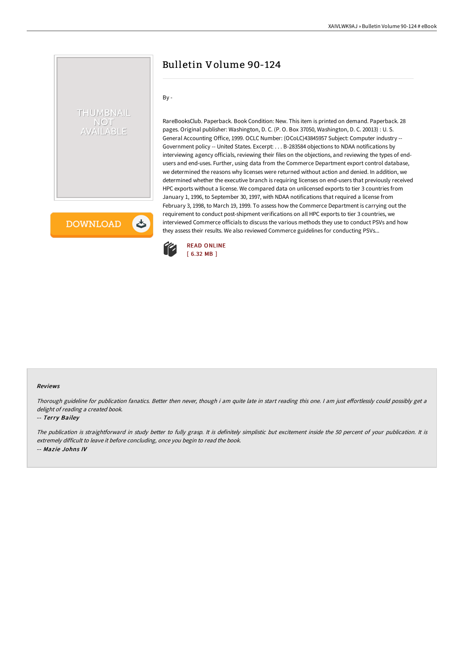# Bulletin Volume 90-124

## By -

THUMBNAIL **NOT /AILABLE** 

**DOWNLOAD** 

しょ

RareBooksClub. Paperback. Book Condition: New. This item is printed on demand. Paperback. 28 pages. Original publisher: Washington, D. C. (P. O. Box 37050, Washington, D. C. 20013) : U. S. General Accounting Office, 1999. OCLC Number: (OCoLC)43845957 Subject: Computer industry -- Government policy -- United States. Excerpt: . . . B-283584 objections to NDAA notifications by interviewing agency officials, reviewing their files on the objections, and reviewing the types of endusers and end-uses. Further, using data from the Commerce Department export control database, we determined the reasons why licenses were returned without action and denied. In addition, we determined whether the executive branch is requiring licenses on end-users that previously received HPC exports without a license. We compared data on unlicensed exports to tier 3 countries from January 1, 1996, to September 30, 1997, with NDAA notifications that required a license from February 3, 1998, to March 19, 1999. To assess how the Commerce Department is carrying out the requirement to conduct post-shipment verifications on all HPC exports to tier 3 countries, we interviewed Commerce officials to discuss the various methods they use to conduct PSVs and how they assess their results. We also reviewed Commerce guidelines for conducting PSVs...



#### Reviews

Thorough guideline for publication fanatics. Better then never, though i am quite late in start reading this one. I am just effortlessly could possibly get a delight of reading <sup>a</sup> created book.

#### -- Terry Bailey

The publication is straightforward in study better to fully grasp. It is definitely simplistic but excitement inside the 50 percent of your publication. It is extremely difficult to leave it before concluding, once you begin to read the book. -- Maz ie Johns IV